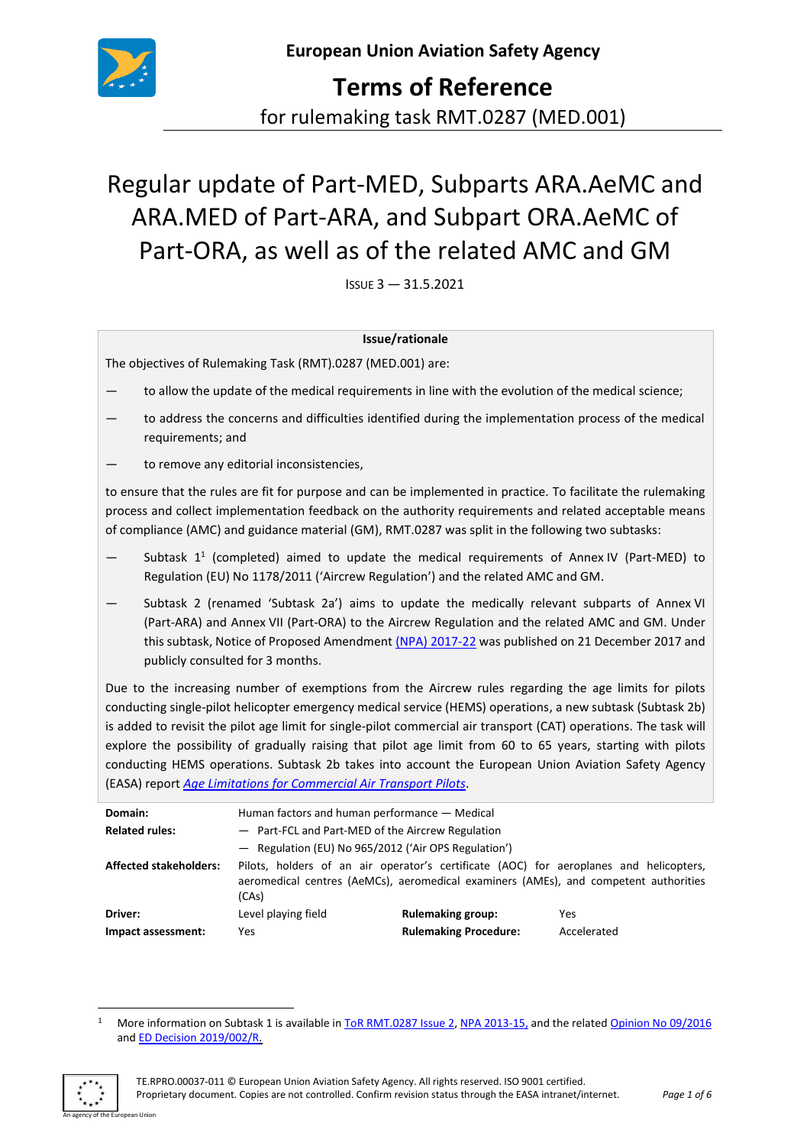

**Terms of Reference** for rulemaking task RMT.0287 (MED.001)

# Regular update of Part-MED, Subparts ARA.AeMC and ARA.MED of Part-ARA, and Subpart ORA.AeMC of Part-ORA, as well as of the related AMC and GM

ISSUE 3 — 31.5.2021

#### **Issue/rationale**

The objectives of Rulemaking Task (RMT).0287 (MED.001) are:

- to allow the update of the medical requirements in line with the evolution of the medical science;
- to address the concerns and difficulties identified during the implementation process of the medical requirements; and
- to remove any editorial inconsistencies,

to ensure that the rules are fit for purpose and can be implemented in practice. To facilitate the rulemaking process and collect implementation feedback on the authority requirements and related acceptable means of compliance (AMC) and guidance material (GM), RMT.0287 was split in the following two subtasks:

- $-$  Subtask 1<sup>1</sup> (completed) aimed to update the medical requirements of Annex IV (Part-MED) to Regulation (EU) No 1178/2011 ('Aircrew Regulation') and the related AMC and GM.
- Subtask 2 (renamed 'Subtask 2a') aims to update the medically relevant subparts of Annex VI (Part-ARA) and Annex VII (Part-ORA) to the Aircrew Regulation and the related AMC and GM. Under this subtask, Notice of Proposed Amendment (NPA) [2017-22](https://www.easa.europa.eu/document-library/notices-of-proposed-amendment/npa-2017-22) was published on 21 December 2017 and publicly consulted for 3 months.

Due to the increasing number of exemptions from the Aircrew rules regarding the age limits for pilots conducting single-pilot helicopter emergency medical service (HEMS) operations, a new subtask (Subtask 2b) is added to revisit the pilot age limit for single-pilot commercial air transport (CAT) operations. The task will explore the possibility of gradually raising that pilot age limit from 60 to 65 years, starting with pilots conducting HEMS operations. Subtask 2b takes into account the European Union Aviation Safety Agency (EASA) report *[Age Limitations for Commercial Air Transport Pilots](https://www.easa.europa.eu/document-library/research-reports/easarepresea20171#:~:text=The%20current%20age%20limitations%20for,until%20the%20age%20of%2065.)*.

| Domain:                       | Human factors and human performance — Medical                                                                                                                                           |                              |             |
|-------------------------------|-----------------------------------------------------------------------------------------------------------------------------------------------------------------------------------------|------------------------------|-------------|
| <b>Related rules:</b>         | - Part-FCL and Part-MED of the Aircrew Regulation                                                                                                                                       |                              |             |
|                               | - Regulation (EU) No 965/2012 ('Air OPS Regulation')                                                                                                                                    |                              |             |
| <b>Affected stakeholders:</b> | Pilots, holders of an air operator's certificate (AOC) for aeroplanes and helicopters,<br>aeromedical centres (AeMCs), aeromedical examiners (AMEs), and competent authorities<br>(CAs) |                              |             |
| Driver:                       | Level playing field                                                                                                                                                                     | <b>Rulemaking group:</b>     | Yes         |
| Impact assessment:            | Yes.                                                                                                                                                                                    | <b>Rulemaking Procedure:</b> | Accelerated |

<sup>&</sup>lt;sup>1</sup> More information on Subtask 1 is available i[n ToR RMT.0287 Issue](https://www.easa.europa.eu/document-library/terms-of-reference-and-group-compositions?search=287&date_filter%5Bmin%5D=&date_filter%5Bmax%5D=) 2, NPA [2013-15,](https://www.easa.europa.eu/document-library/notices-of-proposed-amendments/npa-2013-15) and the related [Opinion No](https://www.easa.europa.eu/document-library/opinions/opinion-092016) 09/2016 and ED [Decision 2019/002/R.](https://www.easa.europa.eu/document-library/agency-decisions/ed-decision-2019002r)

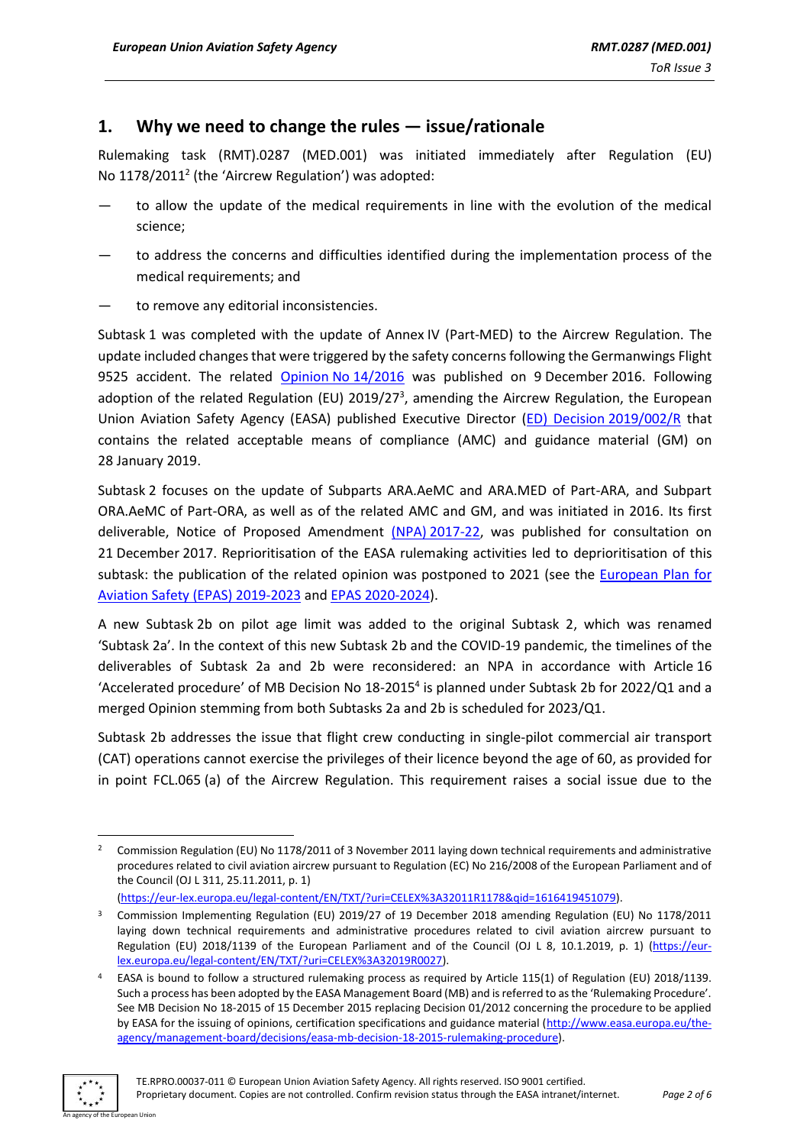# **1. Why we need to change the rules — issue/rationale**

Rulemaking task (RMT).0287 (MED.001) was initiated immediately after Regulation (EU) No  $1178/2011^2$  (the 'Aircrew Regulation') was adopted:

- to allow the update of the medical requirements in line with the evolution of the medical science;
- to address the concerns and difficulties identified during the implementation process of the medical requirements; and
- to remove any editorial inconsistencies.

Subtask 1 was completed with the update of Annex IV (Part-MED) to the Aircrew Regulation. The update included changesthat were triggered by the safety concerns following the Germanwings Flight 9525 accident. The related [Opinion](https://www.easa.europa.eu/document-library/opinions/opinion-142016) No 14/2016 was published on 9 December 2016. Following adoption of the related Regulation (EU) 2019/27<sup>3</sup>, amending the Aircrew Regulation, the European Union Aviation Safety Agency (EASA) published Executive Director (ED) Decision [2019/002/R](https://www.easa.europa.eu/document-library/agency-decisions/ed-decision-2019002r) that contains the related acceptable means of compliance (AMC) and guidance material (GM) on 28 January 2019.

Subtask 2 focuses on the update of Subparts ARA.AeMC and ARA.MED of Part-ARA, and Subpart ORA.AeMC of Part-ORA, as well as of the related AMC and GM, and was initiated in 2016. Its first deliverable, Notice of Proposed Amendment (NPA) [2017-22,](https://www.easa.europa.eu/document-library/notices-of-proposed-amendment/npa-2017-22) was published for consultation on 21 December 2017. Reprioritisation of the EASA rulemaking activities led to deprioritisation of this subtask: the publication of the related opinion was postponed to 2021 (see the [European Plan for](https://www.easa.europa.eu/document-library/general-publications/european-plan-aviation-safety-2019-2023)  [Aviation Safety \(EPAS\)](https://www.easa.europa.eu/document-library/general-publications/european-plan-aviation-safety-2019-2023) 2019-2023 and EPAS [2020-2024\)](https://www.easa.europa.eu/document-library/general-publications/european-plan-aviation-safety-2020-2024).

A new Subtask 2b on pilot age limit was added to the original Subtask 2, which was renamed 'Subtask 2a'. In the context of this new Subtask 2b and the COVID-19 pandemic, the timelines of the deliverables of Subtask 2a and 2b were reconsidered: an NPA in accordance with Article 16 'Accelerated procedure' of MB Decision No 18-2015<sup>4</sup> is planned under Subtask 2b for 2022/Q1 and a merged Opinion stemming from both Subtasks 2a and 2b is scheduled for 2023/Q1.

Subtask 2b addresses the issue that flight crew conducting in single-pilot commercial air transport (CAT) operations cannot exercise the privileges of their licence beyond the age of 60, as provided for in point FCL.065 (a) of the Aircrew Regulation. This requirement raises a social issue due to the

[\(https://eur-lex.europa.eu/legal-content/EN/TXT/?uri=CELEX%3A32011R1178&qid=1616419451079\)](https://eur-lex.europa.eu/legal-content/EN/TXT/?uri=CELEX%3A32011R1178&qid=1616419451079).

EASA is bound to follow a structured rulemaking process as required by Article 115(1) of Regulation (EU) 2018/1139. Such a process has been adopted by the EASA Management Board (MB) and is referred to as the 'Rulemaking Procedure'. See MB Decision No 18-2015 of 15 December 2015 replacing Decision 01/2012 concerning the procedure to be applied by EASA for the issuing of opinions, certification specifications and guidance material [\(http://www.easa.europa.eu/the](http://www.easa.europa.eu/the-agency/management-board/decisions/easa-mb-decision-18-2015-rulemaking-procedure)[agency/management-board/decisions/easa-mb-decision-18-2015-rulemaking-procedure\)](http://www.easa.europa.eu/the-agency/management-board/decisions/easa-mb-decision-18-2015-rulemaking-procedure).



<sup>&</sup>lt;sup>2</sup> Commission Regulation (EU) No 1178/2011 of 3 November 2011 laying down technical requirements and administrative procedures related to civil aviation aircrew pursuant to Regulation (EC) No 216/2008 of the European Parliament and of the Council (OJ L 311, 25.11.2011, p. 1)

<sup>&</sup>lt;sup>3</sup> Commission Implementing Regulation (EU) 2019/27 of 19 December 2018 amending Regulation (EU) No 1178/2011 laying down technical requirements and administrative procedures related to civil aviation aircrew pursuant to Regulation (EU) 2018/1139 of the European Parliament and of the Council (OJ L 8, 10.1.2019, p. 1) [\(https://eur](https://eur-lex.europa.eu/legal-content/EN/TXT/?uri=CELEX%3A32019R0027)[lex.europa.eu/legal-content/EN/TXT/?uri=CELEX%3A32019R0027\)](https://eur-lex.europa.eu/legal-content/EN/TXT/?uri=CELEX%3A32019R0027).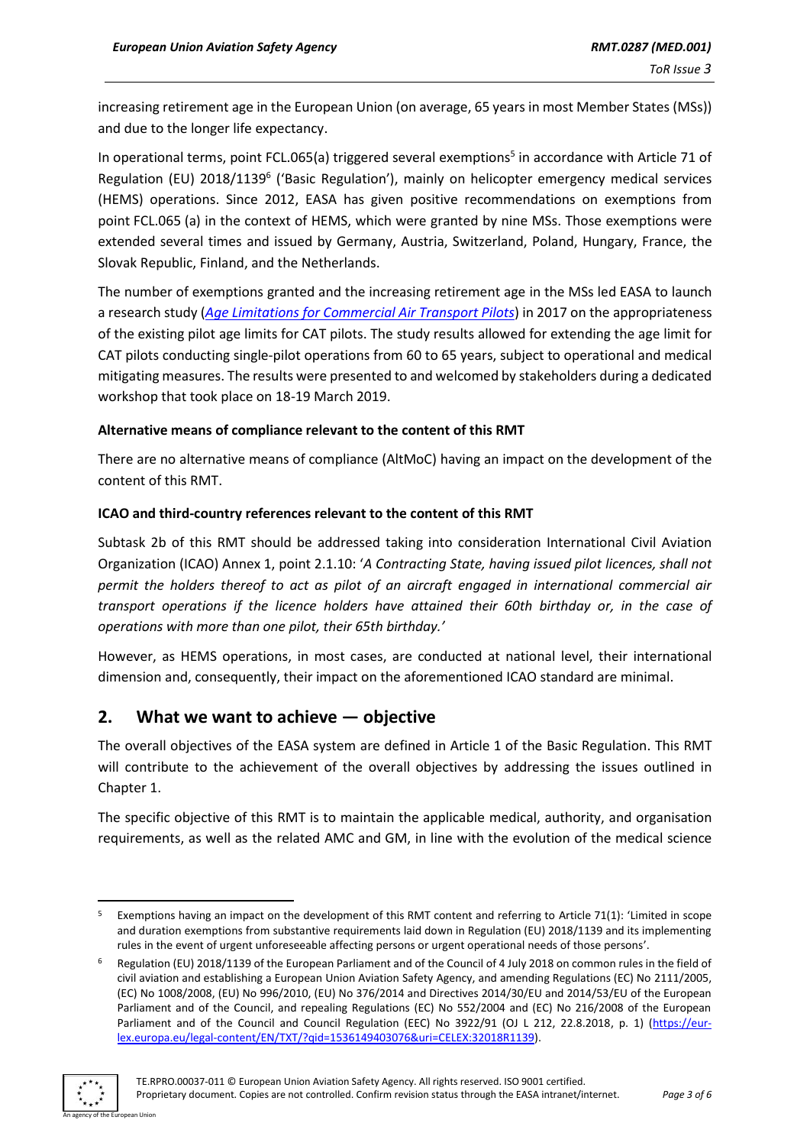increasing retirement age in the European Union (on average, 65 years in most Member States (MSs)) and due to the longer life expectancy.

In operational terms, point FCL.065(a) triggered several exemptions<sup>5</sup> in accordance with Article 71 of Regulation (EU) 2018/1139<sup>6</sup> ('Basic Regulation'), mainly on helicopter emergency medical services (HEMS) operations. Since 2012, EASA has given positive recommendations on exemptions from point FCL.065 (a) in the context of HEMS, which were granted by nine MSs. Those exemptions were extended several times and issued by Germany, Austria, Switzerland, Poland, Hungary, France, the Slovak Republic, Finland, and the Netherlands.

The number of exemptions granted and the increasing retirement age in the MSs led EASA to launch a research study (*[Age Limitations for Commercial Air Transport Pilots](https://www.easa.europa.eu/document-library/research-reports/easarepresea20171#:~:text=The%20current%20age%20limitations%20for,until%20the%20age%20of%2065.)*) in 2017 on the appropriateness of the existing pilot age limits for CAT pilots. The study results allowed for extending the age limit for CAT pilots conducting single-pilot operations from 60 to 65 years, subject to operational and medical mitigating measures. The results were presented to and welcomed by stakeholders during a dedicated workshop that took place on 18-19 March 2019.

#### **Alternative means of compliance relevant to the content of this RMT**

There are no alternative means of compliance (AltMoC) having an impact on the development of the content of this RMT.

## **ICAO and third-country references relevant to the content of this RMT**

Subtask 2b of this RMT should be addressed taking into consideration International Civil Aviation Organization (ICAO) Annex 1, point 2.1.10: '*A Contracting State, having issued pilot licences, shall not permit the holders thereof to act as pilot of an aircraft engaged in international commercial air transport operations if the licence holders have attained their 60th birthday or, in the case of operations with more than one pilot, their 65th birthday.'*

However, as HEMS operations, in most cases, are conducted at national level, their international dimension and, consequently, their impact on the aforementioned ICAO standard are minimal.

# **2. What we want to achieve — objective**

The overall objectives of the EASA system are defined in Article 1 of the Basic Regulation. This RMT will contribute to the achievement of the overall objectives by addressing the issues outlined in Chapter 1.

The specific objective of this RMT is to maintain the applicable medical, authority, and organisation requirements, as well as the related AMC and GM, in line with the evolution of the medical science

Regulation (EU) 2018/1139 of the European Parliament and of the Council of 4 July 2018 on common rules in the field of civil aviation and establishing a European Union Aviation Safety Agency, and amending Regulations (EC) No 2111/2005, (EC) No 1008/2008, (EU) No 996/2010, (EU) No 376/2014 and Directives 2014/30/EU and 2014/53/EU of the European Parliament and of the Council, and repealing Regulations (EC) No 552/2004 and (EC) No 216/2008 of the European Parliament and of the Council and Council Regulation (EEC) No 3922/91 (OJ L 212, 22.8.2018, p. 1) [\(https://eur](https://eur-lex.europa.eu/legal-content/EN/TXT/?qid=1536149403076&uri=CELEX:32018R1139)[lex.europa.eu/legal-content/EN/TXT/?qid=1536149403076&uri=CELEX:32018R1139\)](https://eur-lex.europa.eu/legal-content/EN/TXT/?qid=1536149403076&uri=CELEX:32018R1139).



<sup>&</sup>lt;sup>5</sup> Exemptions having an impact on the development of this RMT content and referring to Article 71(1): 'Limited in scope and duration exemptions from substantive requirements laid down in Regulation (EU) 2018/1139 and its implementing rules in the event of urgent unforeseeable affecting persons or urgent operational needs of those persons'.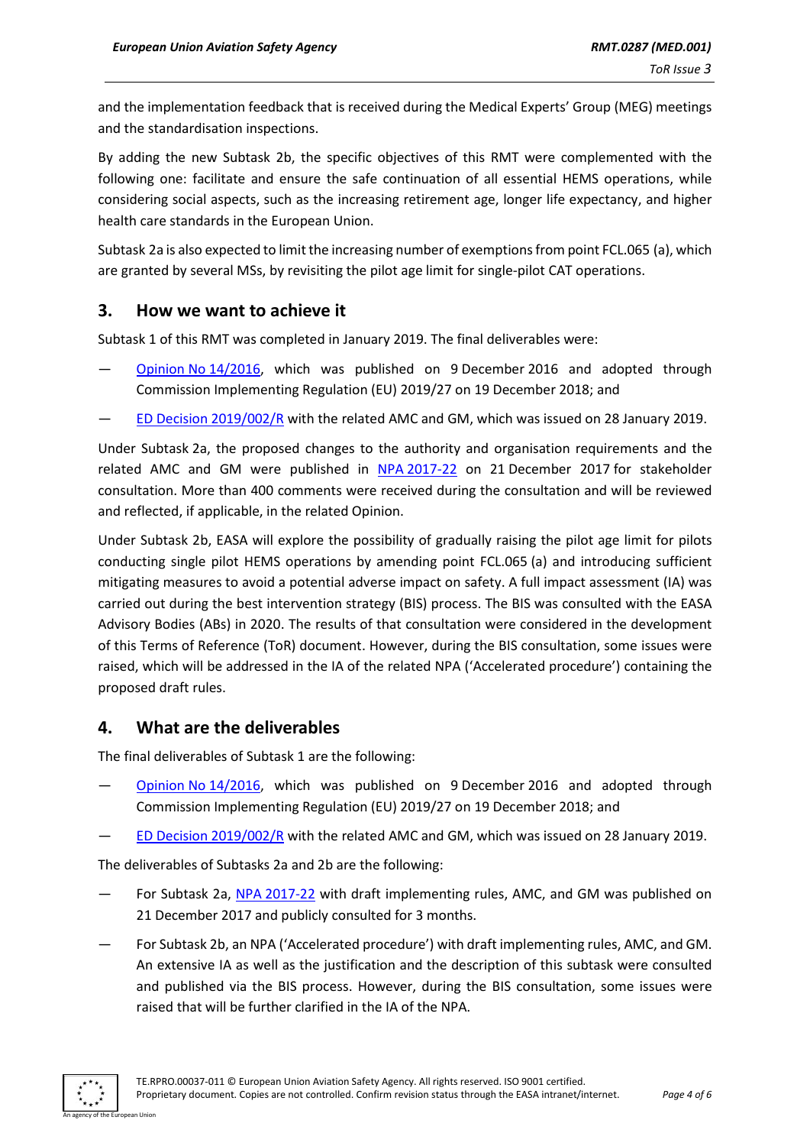and the implementation feedback that is received during the Medical Experts' Group (MEG) meetings and the standardisation inspections.

By adding the new Subtask 2b, the specific objectives of this RMT were complemented with the following one: facilitate and ensure the safe continuation of all essential HEMS operations, while considering social aspects, such as the increasing retirement age, longer life expectancy, and higher health care standards in the European Union.

Subtask 2a is also expected to limitthe increasing number of exemptions from point FCL.065 (a), which are granted by several MSs, by revisiting the pilot age limit for single-pilot CAT operations.

## **3. How we want to achieve it**

Subtask 1 of this RMT was completed in January 2019. The final deliverables were:

- Opinion No [14/2016,](https://www.easa.europa.eu/document-library/opinions/opinion-142016) which was published on 9 December 2016 and adopted through Commission Implementing Regulation (EU) 2019/27 on 19 December 2018; and
- [ED Decision 2019/002/R](https://www.easa.europa.eu/document-library/agency-decisions/ed-decision-2019002r) with the related AMC and GM, which was issued on 28 January 2019.

Under Subtask 2a, the proposed changes to the authority and organisation requirements and the related AMC and GM were published in NPA [2017-22](https://www.easa.europa.eu/document-library/notices-of-proposed-amendment/npa-2017-22) on 21 December 2017 for stakeholder consultation. More than 400 comments were received during the consultation and will be reviewed and reflected, if applicable, in the related Opinion.

Under Subtask 2b, EASA will explore the possibility of gradually raising the pilot age limit for pilots conducting single pilot HEMS operations by amending point FCL.065 (a) and introducing sufficient mitigating measures to avoid a potential adverse impact on safety. A full impact assessment (IA) was carried out during the best intervention strategy (BIS) process. The BIS was consulted with the EASA Advisory Bodies (ABs) in 2020. The results of that consultation were considered in the development of this Terms of Reference (ToR) document. However, during the BIS consultation, some issues were raised, which will be addressed in the IA of the related NPA ('Accelerated procedure') containing the proposed draft rules.

## **4. What are the deliverables**

The final deliverables of Subtask 1 are the following:

- Opinion No [14/2016,](https://www.easa.europa.eu/document-library/opinions/opinion-142016) which was published on 9 December 2016 and adopted through Commission Implementing Regulation (EU) 2019/27 on 19 December 2018; and
- [ED Decision 2019/002/R](https://www.easa.europa.eu/document-library/agency-decisions/ed-decision-2019002r) with the related AMC and GM, which was issued on 28 January 2019.

The deliverables of Subtasks 2a and 2b are the following:

- For Subtask 2a, NPA [2017-22](https://www.easa.europa.eu/document-library/notices-of-proposed-amendment/npa-2017-22) with draft implementing rules, AMC, and GM was published on 21 December 2017 and publicly consulted for 3 months.
- For Subtask 2b, an NPA ('Accelerated procedure') with draft implementing rules, AMC, and GM. An extensive IA as well as the justification and the description of this subtask were consulted and published via the BIS process. However, during the BIS consultation, some issues were raised that will be further clarified in the IA of the NPA.

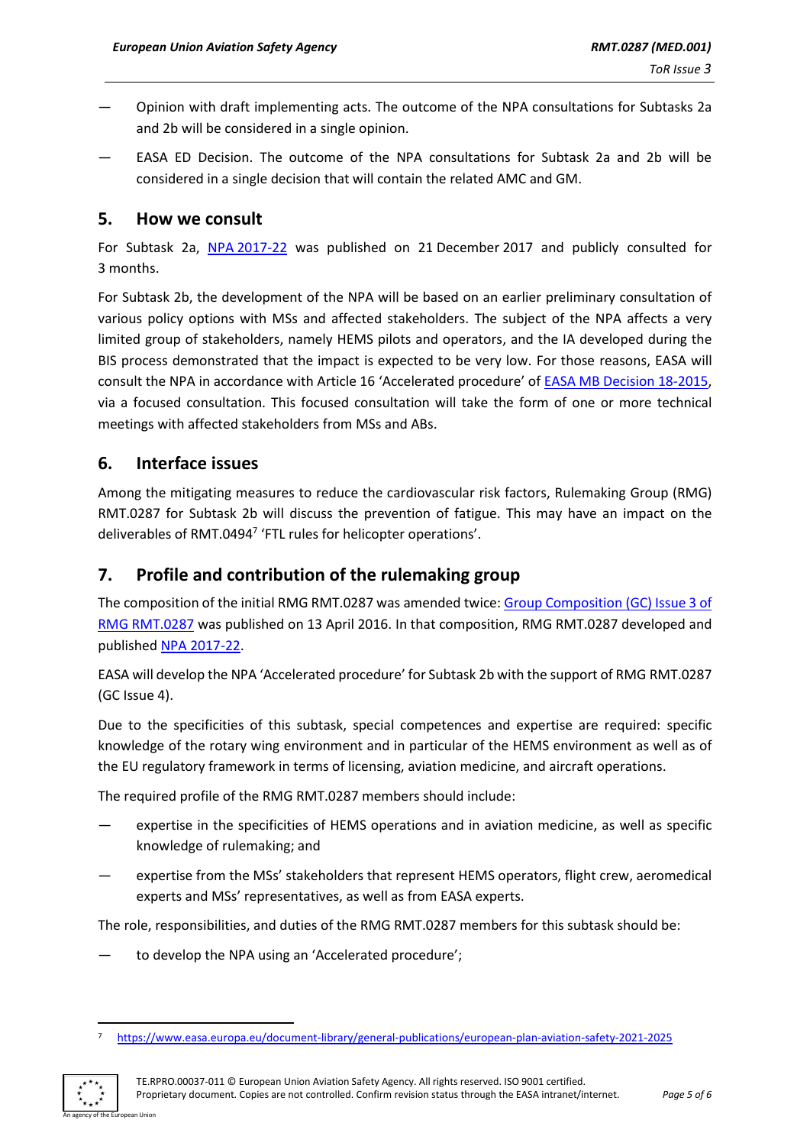- Opinion with draft implementing acts. The outcome of the NPA consultations for Subtasks 2a and 2b will be considered in a single opinion.
- EASA ED Decision. The outcome of the NPA consultations for Subtask 2a and 2b will be considered in a single decision that will contain the related AMC and GM.

## **5. How we consult**

For Subtask 2a, NPA [2017-22](https://www.easa.europa.eu/document-library/notices-of-proposed-amendment/npa-2017-22) was published on 21 December 2017 and publicly consulted for 3 months.

For Subtask 2b, the development of the NPA will be based on an earlier preliminary consultation of various policy options with MSs and affected stakeholders. The subject of the NPA affects a very limited group of stakeholders, namely HEMS pilots and operators, and the IA developed during the BIS process demonstrated that the impact is expected to be very low. For those reasons, EASA will consult the NPA in accordance with Article 16 'Accelerated procedure' of EASA MB Decision [18-2015,](https://www.easa.europa.eu/the-agency/management-board/decisions/easa-mb-decision-18-2015-rulemaking-procedure) via a focused consultation. This focused consultation will take the form of one or more technical meetings with affected stakeholders from MSs and ABs.

# **6. Interface issues**

Among the mitigating measures to reduce the cardiovascular risk factors, Rulemaking Group (RMG) RMT.0287 for Subtask 2b will discuss the prevention of fatigue. This may have an impact on the deliverables of RMT.0494<sup>7</sup> 'FTL rules for helicopter operations'.

# **7. Profile and contribution of the rulemaking group**

The composition of the initial RMG RMT.0287 was amended twice[: Group Composition](https://www.easa.europa.eu/sites/default/files/dfu/GC%20RMT%200287%20Issue%203.pdf) (GC) Issue 3 of [RMG RMT.0287](https://www.easa.europa.eu/sites/default/files/dfu/GC%20RMT%200287%20Issue%203.pdf) was published on 13 April 2016. In that composition, RMG RMT.0287 developed and published NPA [2017-22.](https://www.easa.europa.eu/document-library/notices-of-proposed-amendment/npa-2017-22)

EASA will develop the NPA 'Accelerated procedure' for Subtask 2b with the support of RMG RMT.0287 (GC Issue 4).

Due to the specificities of this subtask, special competences and expertise are required: specific knowledge of the rotary wing environment and in particular of the HEMS environment as well as of the EU regulatory framework in terms of licensing, aviation medicine, and aircraft operations.

The required profile of the RMG RMT.0287 members should include:

- expertise in the specificities of HEMS operations and in aviation medicine, as well as specific knowledge of rulemaking; and
- expertise from the MSs' stakeholders that represent HEMS operators, flight crew, aeromedical experts and MSs' representatives, as well as from EASA experts.

The role, responsibilities, and duties of the RMG RMT.0287 members for this subtask should be:

to develop the NPA using an 'Accelerated procedure';

<sup>7</sup> <https://www.easa.europa.eu/document-library/general-publications/european-plan-aviation-safety-2021-2025>



TE.RPRO.00037-011 © European Union Aviation Safety Agency. All rights reserved. ISO 9001 certified. Proprietary document. Copies are not controlled. Confirm revision status through the EASA intranet/internet. *Page 5 of 6*